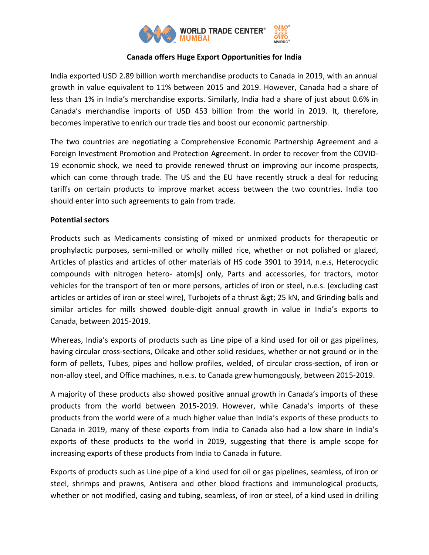

## **Canada offers Huge Export Opportunities for India**

India exported USD 2.89 billion worth merchandise products to Canada in 2019, with an annual growth in value equivalent to 11% between 2015 and 2019. However, Canada had a share of less than 1% in India's merchandise exports. Similarly, India had a share of just about 0.6% in Canada's merchandise imports of USD 453 billion from the world in 2019. It, therefore, becomes imperative to enrich our trade ties and boost our economic partnership.

The two countries are negotiating a Comprehensive Economic Partnership Agreement and a Foreign Investment Promotion and Protection Agreement. In order to recover from the COVID-19 economic shock, we need to provide renewed thrust on improving our income prospects, which can come through trade. The US and the EU have recently struck a deal for reducing tariffs on certain products to improve market access between the two countries. India too should enter into such agreements to gain from trade.

## **Potential sectors**

Products such as Medicaments consisting of mixed or unmixed products for therapeutic or prophylactic purposes, semi-milled or wholly milled rice, whether or not polished or glazed, Articles of plastics and articles of other materials of HS code 3901 to 3914, n.e.s, Heterocyclic compounds with nitrogen hetero- atom[s] only, Parts and accessories, for tractors, motor vehicles for the transport of ten or more persons, articles of iron or steel, n.e.s. (excluding cast articles or articles of iron or steel wire), Turbojets of a thrust & gt; 25 kN, and Grinding balls and similar articles for mills showed double-digit annual growth in value in India's exports to Canada, between 2015-2019.

Whereas, India's exports of products such as Line pipe of a kind used for oil or gas pipelines, having circular cross-sections, Oilcake and other solid residues, whether or not ground or in the form of pellets, Tubes, pipes and hollow profiles, welded, of circular cross-section, of iron or non-alloy steel, and Office machines, n.e.s. to Canada grew humongously, between 2015-2019.

A majority of these products also showed positive annual growth in Canada's imports of these products from the world between 2015-2019. However, while Canada's imports of these products from the world were of a much higher value than India's exports of these products to Canada in 2019, many of these exports from India to Canada also had a low share in India's exports of these products to the world in 2019, suggesting that there is ample scope for increasing exports of these products from India to Canada in future.

Exports of products such as Line pipe of a kind used for oil or gas pipelines, seamless, of iron or steel, shrimps and prawns, Antisera and other blood fractions and immunological products, whether or not modified, casing and tubing, seamless, of iron or steel, of a kind used in drilling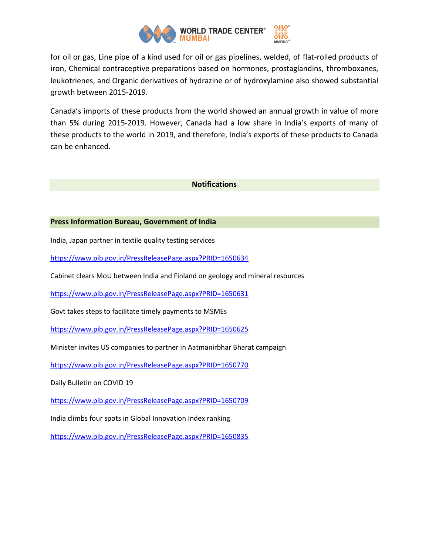

for oil or gas, Line pipe of a kind used for oil or gas pipelines, welded, of flat-rolled products of iron, Chemical contraceptive preparations based on hormones, prostaglandins, thromboxanes, leukotrienes, and Organic derivatives of hydrazine or of hydroxylamine also showed substantial growth between 2015-2019.

Canada's imports of these products from the world showed an annual growth in value of more than 5% during 2015-2019. However, Canada had a low share in India's exports of many of these products to the world in 2019, and therefore, India's exports of these products to Canada can be enhanced.

#### **Notifications**

### **Press Information Bureau, Government of India**

India, Japan partner in textile quality testing services

<https://www.pib.gov.in/PressReleasePage.aspx?PRID=1650634>

Cabinet clears MoU between India and Finland on geology and mineral resources

<https://www.pib.gov.in/PressReleasePage.aspx?PRID=1650631>

Govt takes steps to facilitate timely payments to MSMEs

<https://www.pib.gov.in/PressReleasePage.aspx?PRID=1650625>

Minister invites US companies to partner in Aatmanirbhar Bharat campaign

<https://www.pib.gov.in/PressReleasePage.aspx?PRID=1650770>

Daily Bulletin on COVID 19

<https://www.pib.gov.in/PressReleasePage.aspx?PRID=1650709>

India climbs four spots in Global Innovation Index ranking

<https://www.pib.gov.in/PressReleasePage.aspx?PRID=1650835>